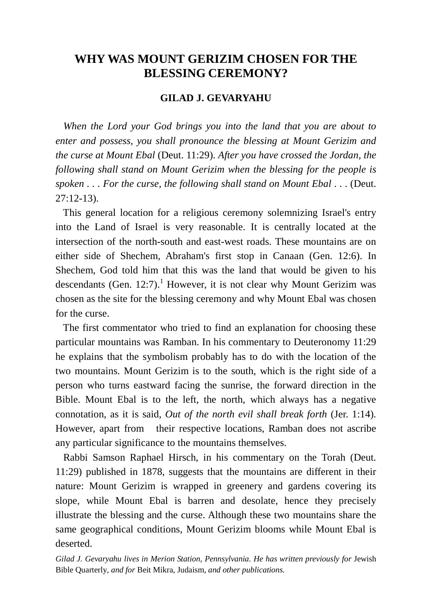# **WHY WAS MOUNT GERIZIM CHOSEN FOR THE BLESSING CEREMONY?**

### **GILAD J. GEVARYAHU**

 *When the Lord your God brings you into the land that you are about to enter and possess, you shall pronounce the blessing at Mount Gerizim and the curse at Mount Ebal* (Deut. 11:29). *After you have crossed the Jordan, the following shall stand on Mount Gerizim when the blessing for the people is spoken . . . For the curse, the following shall stand on Mount Ebal* . . . (Deut. 27:12-13).

 This general location for a religious ceremony solemnizing Israel's entry into the Land of Israel is very reasonable. It is centrally located at the intersection of the north-south and east-west roads. These mountains are on either side of Shechem, Abraham's first stop in Canaan (Gen. 12:6). In Shechem, God told him that this was the land that would be given to his descendants (Gen. 12:7).<sup>1</sup> However, it is not clear why Mount Gerizim was chosen as the site for the blessing ceremony and why Mount Ebal was chosen for the curse.

 The first commentator who tried to find an explanation for choosing these particular mountains was Ramban. In his commentary to Deuteronomy 11:29 he explains that the symbolism probably has to do with the location of the two mountains. Mount Gerizim is to the south, which is the right side of a person who turns eastward facing the sunrise, the forward direction in the Bible. Mount Ebal is to the left, the north, which always has a negative connotation, as it is said, *Out of the north evil shall break forth* (Jer. 1:14)*.* However, apart from their respective locations, Ramban does not ascribe any particular significance to the mountains themselves.

 Rabbi Samson Raphael Hirsch, in his commentary on the Torah (Deut. 11:29) published in 1878, suggests that the mountains are different in their nature: Mount Gerizim is wrapped in greenery and gardens covering its slope, while Mount Ebal is barren and desolate, hence they precisely illustrate the blessing and the curse. Although these two mountains share the same geographical conditions, Mount Gerizim blooms while Mount Ebal is deserted.

Gilad J. Gevaryahu lives in Merion Station, Pennsylvania. He has written previously for Jewish Bible Quarterly*, and for* Beit Mikra, Judaism, *and other publications.*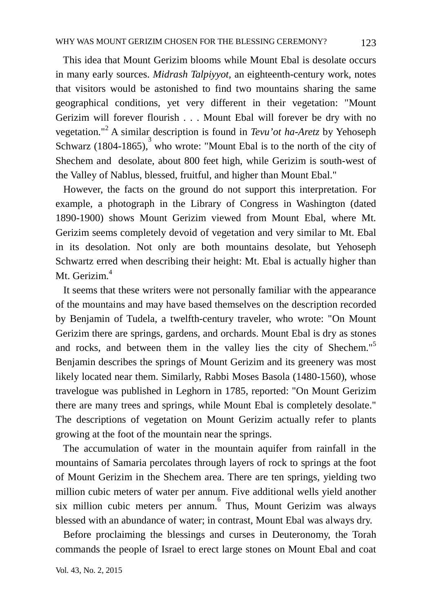This idea that Mount Gerizim blooms while Mount Ebal is desolate occurs in many early sources. *Midrash Talpiyyot*, an eighteenth-century work, notes that visitors would be astonished to find two mountains sharing the same geographical conditions, yet very different in their vegetation: "Mount Gerizim will forever flourish . . . Mount Ebal will forever be dry with no vegetation."<sup>2</sup> A similar description is found in *Tevu'ot ha-Aretz* by Yehoseph Schwarz  $(1804-1865)$ , who wrote: "Mount Ebal is to the north of the city of Shechem and desolate, about 800 feet high, while Gerizim is south-west of the Valley of Nablus, blessed, fruitful, and higher than Mount Ebal."

However, the facts on the ground do not support this interpretation. For example, a photograph in the Library of Congress in Washington (dated 1890-1900) shows Mount Gerizim viewed from Mount Ebal, where Mt. Gerizim seems completely devoid of vegetation and very similar to Mt. Ebal in its desolation. Not only are both mountains desolate, but Yehoseph Schwartz erred when describing their height: Mt. Ebal is actually higher than Mt. Gerizim. 4

It seems that these writers were not personally familiar with the appearance of the mountains and may have based themselves on the description recorded by Benjamin of Tudela, a twelfth-century traveler, who wrote: "On Mount Gerizim there are springs, gardens, and orchards. Mount Ebal is dry as stones and rocks, and between them in the valley lies the city of Shechem."<sup>5</sup> Benjamin describes the springs of Mount Gerizim and its greenery was most likely located near them. Similarly, Rabbi Moses Basola (1480-1560), whose travelogue was published in Leghorn in 1785, reported: "On Mount Gerizim there are many trees and springs, while Mount Ebal is completely desolate." The descriptions of vegetation on Mount Gerizim actually refer to plants growing at the foot of the mountain near the springs.

 The accumulation of water in the mountain aquifer from rainfall in the mountains of Samaria percolates through layers of rock to springs at the foot of Mount Gerizim in the Shechem area. There are ten springs, yielding two million cubic meters of water per annum. Five additional wells yield another six million cubic meters per annum.<sup>6</sup> Thus, Mount Gerizim was always blessed with an abundance of water; in contrast, Mount Ebal was always dry.

 Before proclaiming the blessings and curses in Deuteronomy, the Torah commands the people of Israel to erect large stones on Mount Ebal and coat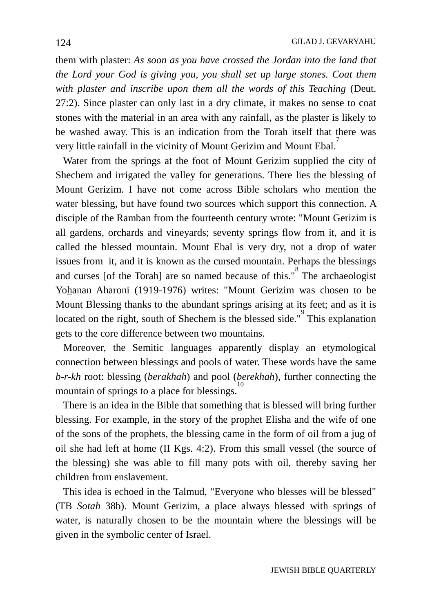them with plaster: *As soon as you have crossed the Jordan into the land that the Lord your God is giving you, you shall set up large stones. Coat them with plaster and inscribe upon them all the words of this Teaching* (Deut. 27:2). Since plaster can only last in a dry climate, it makes no sense to coat stones with the material in an area with any rainfall, as the plaster is likely to be washed away. This is an indication from the Torah itself that there was very little rainfall in the vicinity of Mount Gerizim and Mount Ebal.<sup>7</sup>

 Water from the springs at the foot of Mount Gerizim supplied the city of Shechem and irrigated the valley for generations. There lies the blessing of Mount Gerizim. I have not come across Bible scholars who mention the water blessing, but have found two sources which support this connection. A disciple of the Ramban from the fourteenth century wrote: "Mount Gerizim is all gardens, orchards and vineyards; seventy springs flow from it, and it is called the blessed mountain. Mount Ebal is very dry, not a drop of water issues from it, and it is known as the cursed mountain. Perhaps the blessings and curses [of the Torah] are so named because of this."<sup>8</sup> The archaeologist Yohanan Aharoni (1919-1976) writes: "Mount Gerizim was chosen to be Mount Blessing thanks to the abundant springs arising at its feet; and as it is located on the right, south of Shechem is the blessed side."<sup>9</sup> This explanation gets to the core difference between two mountains.

 Moreover, the Semitic languages apparently display an etymological connection between blessings and pools of water. These words have the same *b*-*r-kh* root: blessing (*berakhah*) and pool (*berekhah*), further connecting the mountain of springs to a place for blessings.

 There is an idea in the Bible that something that is blessed will bring further blessing. For example, in the story of the prophet Elisha and the wife of one of the sons of the prophets, the blessing came in the form of oil from a jug of oil she had left at home (II Kgs. 4:2). From this small vessel (the source of the blessing) she was able to fill many pots with oil, thereby saving her children from enslavement.

 This idea is echoed in the Talmud, "Everyone who blesses will be blessed" (TB *Sotah* 38b). Mount Gerizim, a place always blessed with springs of water, is naturally chosen to be the mountain where the blessings will be given in the symbolic center of Israel.